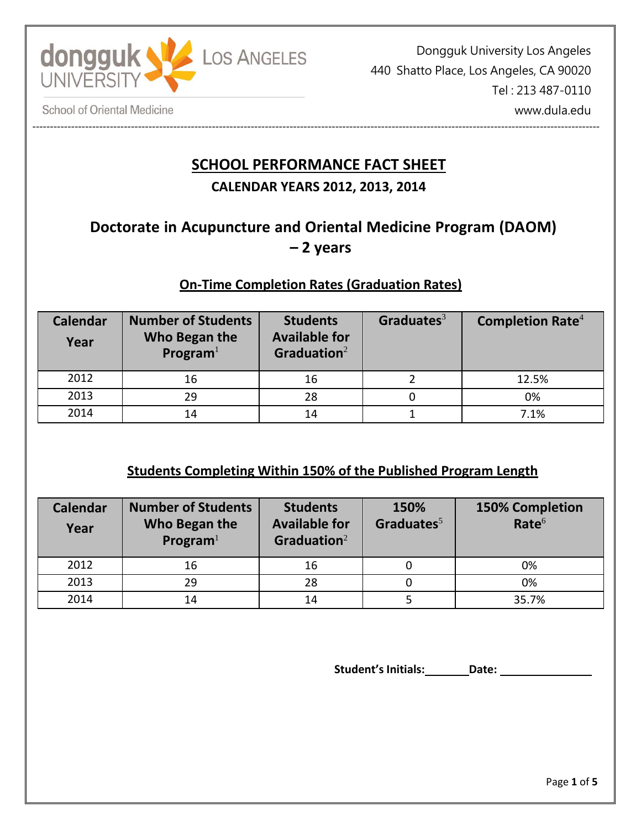

----------------------------------------------------------------------------------------------------------------------------------------------------------------- Dongguk University Los Angeles 440 Shatto Place, Los Angeles, CA 90020 Tel : 213 487-0110 www.dula.edu

**School of Oriental Medicine** 

# **SCHOOL PERFORMANCE FACT SHEET**

# **CALENDAR YEARS 2012, 2013, 2014**

# **Doctorate in Acupuncture and Oriental Medicine Program (DAOM) – 2 years**

## **On-Time Completion Rates (Graduation Rates)**

| <b>Calendar</b><br>Year | <b>Number of Students</b><br>Who Began the<br>Program <sup>1</sup> | <b>Students</b><br><b>Available for</b><br>Graduation $2$ | Graduates <sup>3</sup> | Completion Rate <sup>4</sup> |
|-------------------------|--------------------------------------------------------------------|-----------------------------------------------------------|------------------------|------------------------------|
| 2012                    | 16                                                                 | 16                                                        |                        | 12.5%                        |
| 2013                    | 29                                                                 | 28                                                        |                        | 0%                           |
| 2014                    | 14                                                                 | 14                                                        |                        | 7.1%                         |

### **Students Completing Within 150% of the Published Program Length**

| <b>Calendar</b><br>Year | <b>Number of Students</b><br>Who Began the<br>Program <sup>1</sup> | <b>Students</b><br><b>Available for</b><br>Graduation $2$ | 150%<br>Graduates $5$ | <b>150% Completion</b><br>Rate <sup>6</sup> |
|-------------------------|--------------------------------------------------------------------|-----------------------------------------------------------|-----------------------|---------------------------------------------|
| 2012                    | 16                                                                 | 16                                                        |                       | 0%                                          |
| 2013                    | 29                                                                 | 28                                                        |                       | 0%                                          |
| 2014                    | 14                                                                 | 14                                                        |                       | 35.7%                                       |

**Student's Initials: Date:**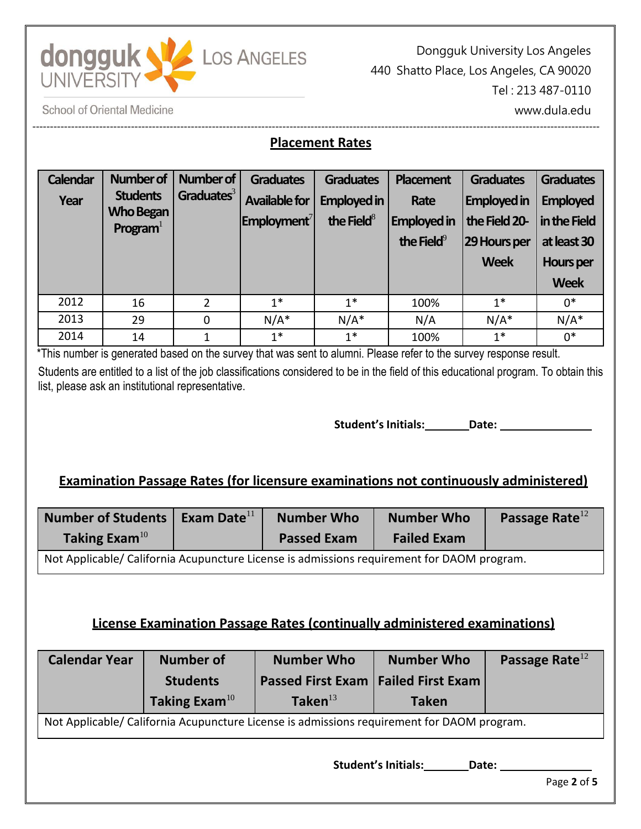

Dongguk University Los Angeles 440 Shatto Place, Los Angeles, CA 90020 Tel : 213 487-0110 www.dula.edu

**School of Oriental Medicine** 

# **Placement Rates**

-----------------------------------------------------------------------------------------------------------------------------------------------------------------

| <b>Calendar</b><br>Year | <b>Number of</b><br><b>Students</b><br><b>Who Began</b><br>Program <sup>1</sup> | Number of<br>Graduates <sup>3</sup> | <b>Graduates</b><br><b>Available for</b><br>$ $ Employment ${}^{7}$ | <b>Graduates</b><br><b>Employed in</b><br>the Field $8$ | <b>Placement</b><br>Rate<br><b>Employed in</b><br>the Field $9$ | <b>Graduates</b><br><b>Employed in</b><br>the Field 20-<br>29 Hours per<br><b>Week</b> | <b>Graduates</b><br><b>Employed</b><br>in the Field<br>at least 30<br>Hours per<br><b>Week</b> |
|-------------------------|---------------------------------------------------------------------------------|-------------------------------------|---------------------------------------------------------------------|---------------------------------------------------------|-----------------------------------------------------------------|----------------------------------------------------------------------------------------|------------------------------------------------------------------------------------------------|
| 2012                    | 16                                                                              | $\overline{2}$                      | $1^*$                                                               | $1*$                                                    | 100%                                                            | $1*$                                                                                   | $0*$                                                                                           |
| 2013                    | 29                                                                              | 0                                   | $N/A^*$                                                             | $N/A^*$                                                 | N/A                                                             | $N/A^*$                                                                                | $N/A^*$                                                                                        |
| 2014                    | 14                                                                              | 1                                   | $1^*$                                                               | $1^*$                                                   | 100%                                                            | $1^*$                                                                                  | $0*$                                                                                           |

\*This number is generated based on the survey that was sent to alumni. Please refer to the survey response result. Students are entitled to a list of the job classifications considered to be in the field of this educational program. To obtain this list, please ask an institutional representative.

**Student's Initials: Date:**

### **Examination Passage Rates (for licensure examinations not continuously administered)**

| <b>Number of Students</b><br>Taking Exam <sup>10</sup>                                     | Exam Date $^{11}$ | <b>Number Who</b><br><b>Passed Exam</b> | <b>Number Who</b><br><b>Failed Exam</b> | Passage Rate $^{12}$ |  |  |  |
|--------------------------------------------------------------------------------------------|-------------------|-----------------------------------------|-----------------------------------------|----------------------|--|--|--|
| Not Applicable/ California Acupuncture License is admissions requirement for DAOM program. |                   |                                         |                                         |                      |  |  |  |

## **License Examination Passage Rates (continually administered examinations)**

| <b>Calendar Year</b>                                                                       | <b>Number of</b>    | <b>Number Who</b>                              | <b>Number Who</b>                  | Passage Rate <sup>12</sup> |  |  |  |  |
|--------------------------------------------------------------------------------------------|---------------------|------------------------------------------------|------------------------------------|----------------------------|--|--|--|--|
|                                                                                            | <b>Students</b>     | <b>Passed First Exam   Failed First Exam  </b> |                                    |                            |  |  |  |  |
|                                                                                            | Taking Exam $^{10}$ | Taken $^{13}$                                  | <b>Taken</b>                       |                            |  |  |  |  |
| Not Applicable/ California Acupuncture License is admissions requirement for DAOM program. |                     |                                                |                                    |                            |  |  |  |  |
|                                                                                            |                     |                                                | المقادا والمسوامين<br><b>Dete:</b> |                            |  |  |  |  |

**Student's Initials: Date:**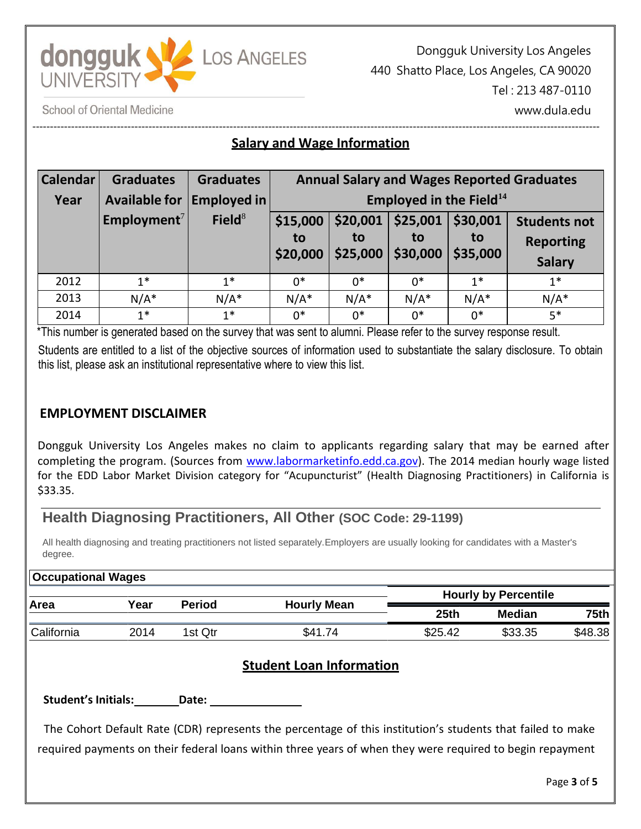

Dongguk University Los Angeles 440 Shatto Place, Los Angeles, CA 90020 Tel : 213 487-0110 www.dula.edu

**School of Oriental Medicine** 

#### ----------------------------------------------------------------------------------------------------------------------------------------------------------------- **Salary and Wage Information**

| <b>Calendar</b> | <b>Graduates</b>        | <b>Graduates</b> | <b>Annual Salary and Wages Reported Graduates</b> |                            |                            |                            |                                                          |  |
|-----------------|-------------------------|------------------|---------------------------------------------------|----------------------------|----------------------------|----------------------------|----------------------------------------------------------|--|
| Year            | Available for           | Employed in      | Employed in the Field <sup>14</sup>               |                            |                            |                            |                                                          |  |
|                 | Employment <sup>7</sup> | Field $8$        | \$15,000<br>to<br>\$20,000                        | \$20,001<br>to<br>\$25,000 | \$25,001<br>to<br>\$30,000 | \$30,001<br>to<br>\$35,000 | <b>Students not</b><br><b>Reporting</b><br><b>Salary</b> |  |
| 2012            | $1^*$                   | $1*$             | $0*$                                              | $0*$                       | $0^*$                      | $1^*$                      | $1^*$                                                    |  |
| 2013            | $N/A^*$                 | $N/A^*$          | $N/A^*$                                           | $N/A^*$                    | $N/A^*$                    | $N/A^*$                    | $N/A^*$                                                  |  |
| 2014            | $1*$                    | $1^*$            | $0*$                                              | $0*$                       | $0*$                       | $0*$                       | $5*$                                                     |  |

\*This number is generated based on the survey that was sent to alumni. Please refer to the survey response result. Students are entitled to a list of the objective sources of information used to substantiate the salary disclosure. To obtain this list, please ask an institutional representative where to view this list.

#### **EMPLOYMENT DISCLAIMER**

**Occupational Wages**

Dongguk University Los Angeles makes no claim to applicants regarding salary that may be earned after completing the program. (Sources from [www.labormarketinfo.edd.ca.gov\)](http://www.labormarketinfo.edd.ca.gov/). The 2014 median hourly wage listed for the EDD Labor Market Division category for "Acupuncturist" (Health Diagnosing Practitioners) in California is \$33.35.

### **Health Diagnosing Practitioners, All Other (SOC Code: 29-1199)**

All health diagnosing and treating practitioners not listed separately.Employers are usually looking for candidates with a Master's degree.

| $\sim$ ccupational wages |               |                    |                             |         |         |  |  |  |  |  |
|--------------------------|---------------|--------------------|-----------------------------|---------|---------|--|--|--|--|--|
|                          | <b>Period</b> | <b>Hourly Mean</b> | <b>Hourly by Percentile</b> |         |         |  |  |  |  |  |
|                          |               |                    | 25 <sub>th</sub>            | Median  | 75th    |  |  |  |  |  |
| 2014                     | 1st Qtr       | \$41.74            | \$25.42                     | \$33.35 | \$48.38 |  |  |  |  |  |
|                          | Year          |                    |                             |         |         |  |  |  |  |  |

#### **Student Loan Information**

**Student's Initials: Date:** 

The Cohort Default Rate (CDR) represents the percentage of this institution's students that failed to make required payments on their federal loans within three years of when they were required to begin repayment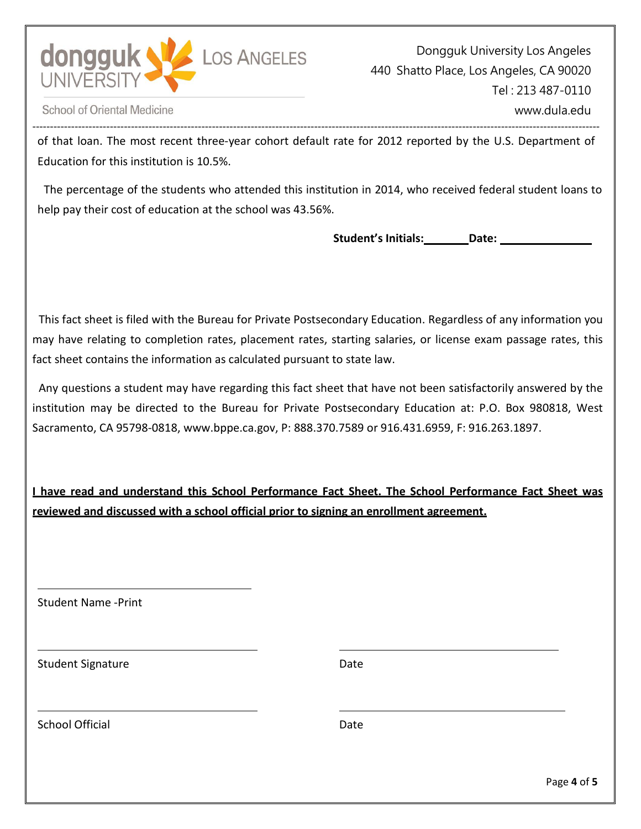

**School of Oriental Medicine** 

---------------------------------------------------------------------------------------------------------------------------------------------------------------- of that loan. The most recent three-year cohort default rate for 2012 reported by the U.S. Department of Education for this institution is 10.5%.

The percentage of the students who attended this institution in 2014, who received federal student loans to help pay their cost of education at the school was 43.56%.

**Student's Initials: Date:** 

This fact sheet is filed with the Bureau for Private Postsecondary Education. Regardless of any information you may have relating to completion rates, placement rates, starting salaries, or license exam passage rates, this fact sheet contains the information as calculated pursuant to state law.

Any questions a student may have regarding this fact sheet that have not been satisfactorily answered by the institution may be directed to the Bureau for Private Postsecondary Education at: P.O. Box 980818, West Sacramento, CA 95798-[0818, www.bppe.ca.gov,](http://www.bppe.ca.gov/) P: 888.370.7589 or 916.431.6959, F: 916.263.1897.

**I have read and understand this School Performance Fact Sheet. The School Performance Fact Sheet was reviewed and discussed with a school official prior to signing an enrollment agreement.**

Student Name -Print

Student Signature Date Date

School Official Date Date